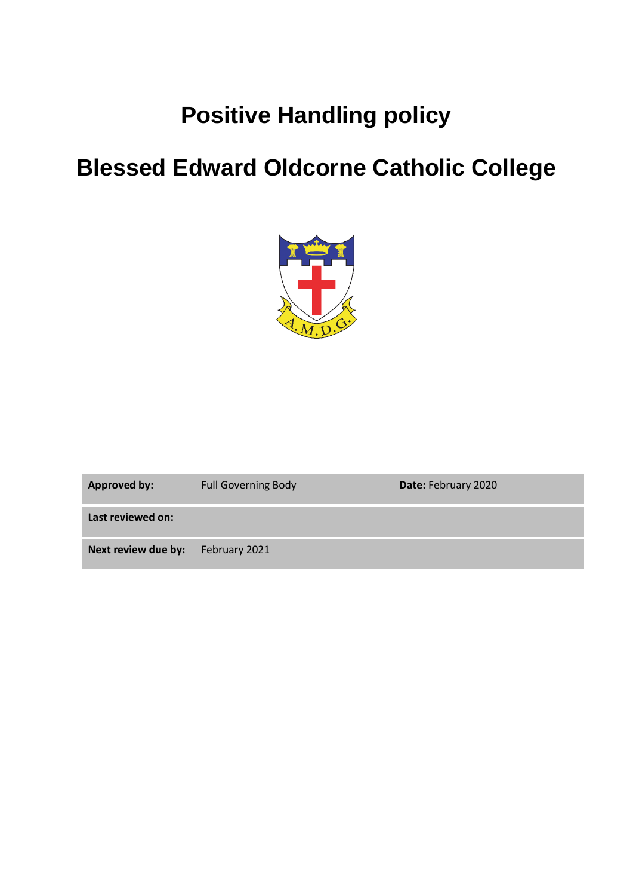# **Positive Handling policy**

# **Blessed Edward Oldcorne Catholic College**



| <b>Approved by:</b> | <b>Full Governing Body</b> | Date: February 2020 |
|---------------------|----------------------------|---------------------|
| Last reviewed on:   |                            |                     |
| Next review due by: | February 2021              |                     |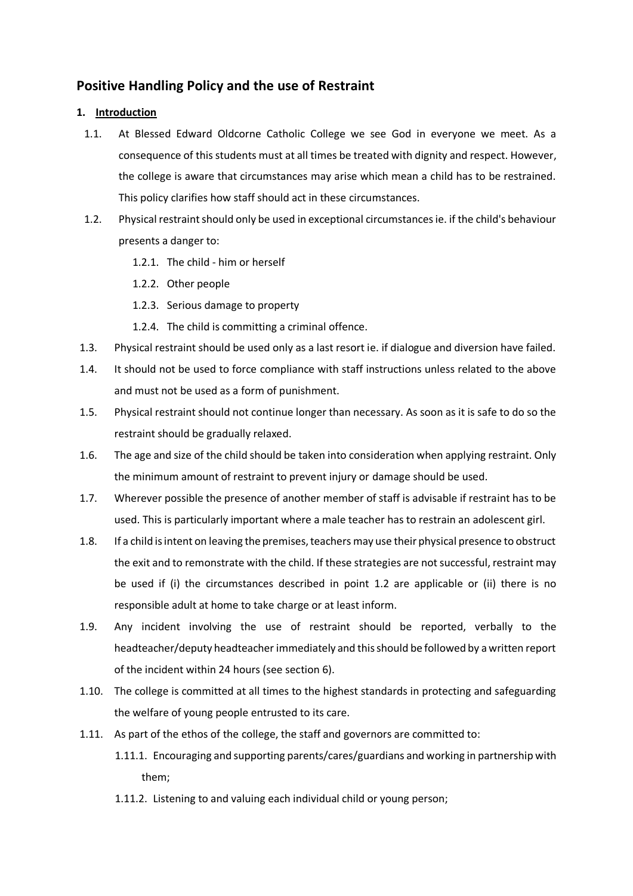## **Positive Handling Policy and the use of Restraint**

### **1. Introduction**

- 1.1. At Blessed Edward Oldcorne Catholic College we see God in everyone we meet. As a consequence of this students must at all times be treated with dignity and respect. However, the college is aware that circumstances may arise which mean a child has to be restrained. This policy clarifies how staff should act in these circumstances.
- 1.2. Physical restraint should only be used in exceptional circumstances ie. if the child's behaviour presents a danger to:
	- 1.2.1. The child him or herself
	- 1.2.2. Other people
	- 1.2.3. Serious damage to property
	- 1.2.4. The child is committing a criminal offence.
- 1.3. Physical restraint should be used only as a last resort ie. if dialogue and diversion have failed.
- 1.4. It should not be used to force compliance with staff instructions unless related to the above and must not be used as a form of punishment.
- 1.5. Physical restraint should not continue longer than necessary. As soon as it is safe to do so the restraint should be gradually relaxed.
- 1.6. The age and size of the child should be taken into consideration when applying restraint. Only the minimum amount of restraint to prevent injury or damage should be used.
- 1.7. Wherever possible the presence of another member of staff is advisable if restraint has to be used. This is particularly important where a male teacher has to restrain an adolescent girl.
- 1.8. If a child is intent on leaving the premises, teachers may use their physical presence to obstruct the exit and to remonstrate with the child. If these strategies are not successful, restraint may be used if (i) the circumstances described in point 1.2 are applicable or (ii) there is no responsible adult at home to take charge or at least inform.
- 1.9. Any incident involving the use of restraint should be reported, verbally to the headteacher/deputy headteacher immediately and this should be followed by a written report of the incident within 24 hours (see section 6).
- 1.10. The college is committed at all times to the highest standards in protecting and safeguarding the welfare of young people entrusted to its care.
- 1.11. As part of the ethos of the college, the staff and governors are committed to:
	- 1.11.1. Encouraging and supporting parents/cares/guardians and working in partnership with them;
	- 1.11.2. Listening to and valuing each individual child or young person;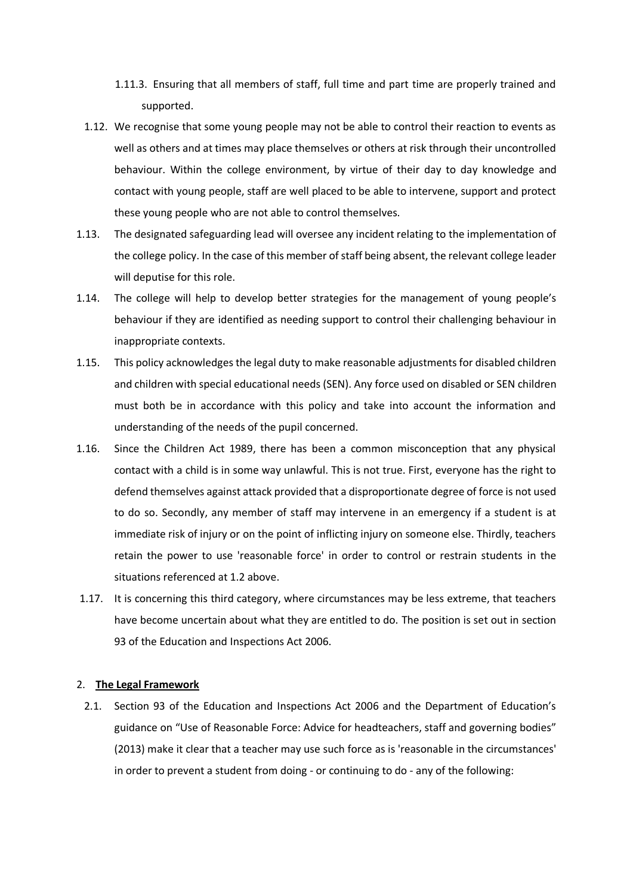- 1.11.3. Ensuring that all members of staff, full time and part time are properly trained and supported.
- 1.12. We recognise that some young people may not be able to control their reaction to events as well as others and at times may place themselves or others at risk through their uncontrolled behaviour. Within the college environment, by virtue of their day to day knowledge and contact with young people, staff are well placed to be able to intervene, support and protect these young people who are not able to control themselves.
- 1.13. The designated safeguarding lead will oversee any incident relating to the implementation of the college policy. In the case of this member of staff being absent, the relevant college leader will deputise for this role.
- 1.14. The college will help to develop better strategies for the management of young people's behaviour if they are identified as needing support to control their challenging behaviour in inappropriate contexts.
- 1.15. This policy acknowledges the legal duty to make reasonable adjustments for disabled children and children with special educational needs (SEN). Any force used on disabled or SEN children must both be in accordance with this policy and take into account the information and understanding of the needs of the pupil concerned.
- 1.16. Since the Children Act 1989, there has been a common misconception that any physical contact with a child is in some way unlawful. This is not true. First, everyone has the right to defend themselves against attack provided that a disproportionate degree of force is not used to do so. Secondly, any member of staff may intervene in an emergency if a student is at immediate risk of injury or on the point of inflicting injury on someone else. Thirdly, teachers retain the power to use 'reasonable force' in order to control or restrain students in the situations referenced at 1.2 above.
- 1.17. It is concerning this third category, where circumstances may be less extreme, that teachers have become uncertain about what they are entitled to do. The position is set out in section 93 of the Education and Inspections Act 2006.

#### 2. **The Legal Framework**

2.1. Section 93 of the Education and Inspections Act 2006 and the Department of Education's guidance on "Use of Reasonable Force: Advice for headteachers, staff and governing bodies" (2013) make it clear that a teacher may use such force as is 'reasonable in the circumstances' in order to prevent a student from doing - or continuing to do - any of the following: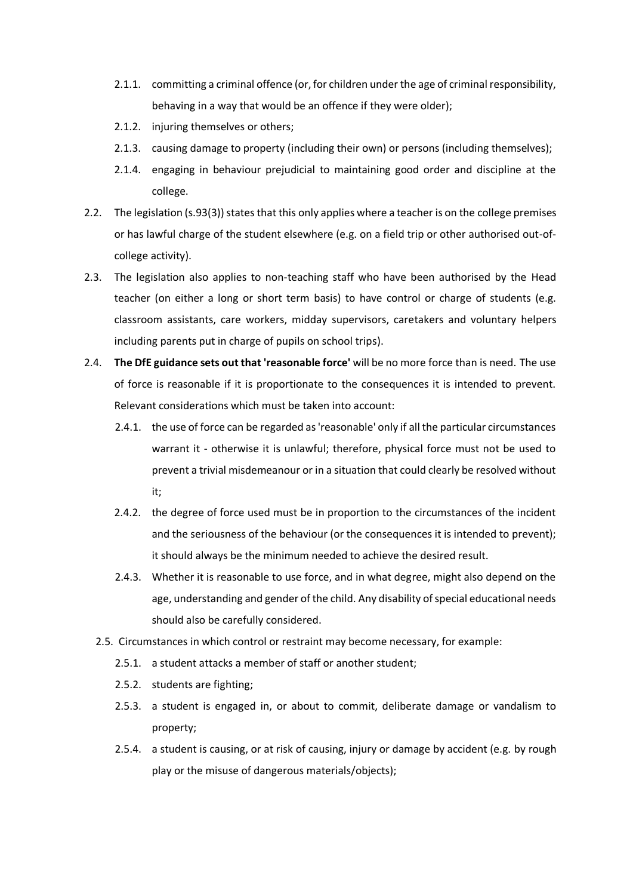- 2.1.1. committing a criminal offence (or, for children under the age of criminal responsibility, behaving in a way that would be an offence if they were older);
- 2.1.2. injuring themselves or others;
- 2.1.3. causing damage to property (including their own) or persons (including themselves);
- 2.1.4. engaging in behaviour prejudicial to maintaining good order and discipline at the college.
- 2.2. The legislation (s.93(3)) states that this only applies where a teacher is on the college premises or has lawful charge of the student elsewhere (e.g. on a field trip or other authorised out-ofcollege activity).
- 2.3. The legislation also applies to non-teaching staff who have been authorised by the Head teacher (on either a long or short term basis) to have control or charge of students (e.g. classroom assistants, care workers, midday supervisors, caretakers and voluntary helpers including parents put in charge of pupils on school trips).
- 2.4. **The DfE guidance sets out that 'reasonable force'** will be no more force than is need. The use of force is reasonable if it is proportionate to the consequences it is intended to prevent. Relevant considerations which must be taken into account:
	- 2.4.1. the use of force can be regarded as 'reasonable' only if all the particular circumstances warrant it - otherwise it is unlawful; therefore, physical force must not be used to prevent a trivial misdemeanour or in a situation that could clearly be resolved without it;
	- 2.4.2. the degree of force used must be in proportion to the circumstances of the incident and the seriousness of the behaviour (or the consequences it is intended to prevent); it should always be the minimum needed to achieve the desired result.
	- 2.4.3. Whether it is reasonable to use force, and in what degree, might also depend on the age, understanding and gender of the child. Any disability of special educational needs should also be carefully considered.
	- 2.5. Circumstances in which control or restraint may become necessary, for example:
		- 2.5.1. a student attacks a member of staff or another student;
		- 2.5.2. students are fighting;
		- 2.5.3. a student is engaged in, or about to commit, deliberate damage or vandalism to property;
		- 2.5.4. a student is causing, or at risk of causing, injury or damage by accident (e.g. by rough play or the misuse of dangerous materials/objects);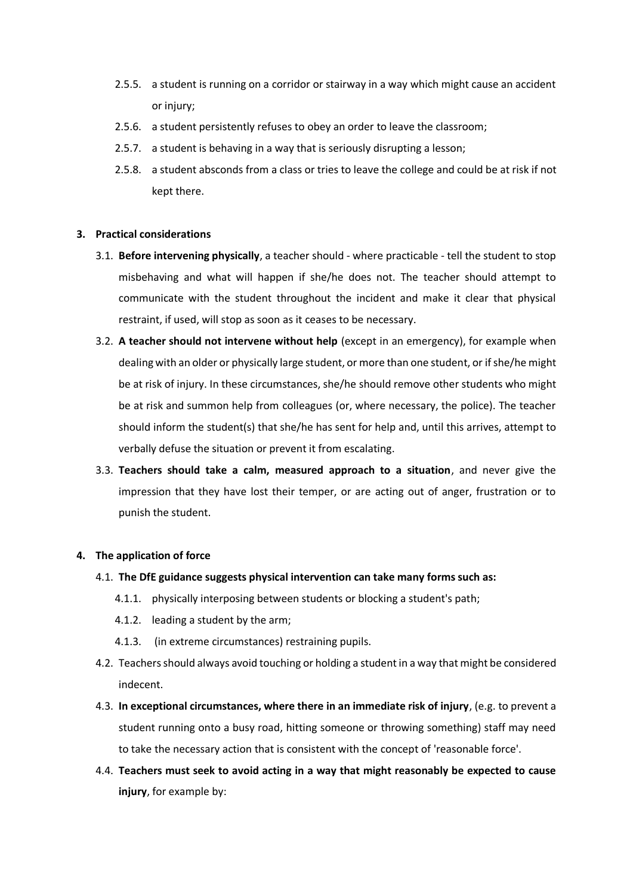- 2.5.5. a student is running on a corridor or stairway in a way which might cause an accident or injury;
- 2.5.6. a student persistently refuses to obey an order to leave the classroom;
- 2.5.7. a student is behaving in a way that is seriously disrupting a lesson;
- 2.5.8. a student absconds from a class or tries to leave the college and could be at risk if not kept there.

#### **3. Practical considerations**

- 3.1. **Before intervening physically**, a teacher should where practicable tell the student to stop misbehaving and what will happen if she/he does not. The teacher should attempt to communicate with the student throughout the incident and make it clear that physical restraint, if used, will stop as soon as it ceases to be necessary.
- 3.2. **A teacher should not intervene without help** (except in an emergency), for example when dealing with an older or physically large student, or more than one student, or if she/he might be at risk of injury. In these circumstances, she/he should remove other students who might be at risk and summon help from colleagues (or, where necessary, the police). The teacher should inform the student(s) that she/he has sent for help and, until this arrives, attempt to verbally defuse the situation or prevent it from escalating.
- 3.3. **Teachers should take a calm, measured approach to a situation**, and never give the impression that they have lost their temper, or are acting out of anger, frustration or to punish the student.

#### **4. The application of force**

- 4.1. **The DfE guidance suggests physical intervention can take many forms such as:** 
	- 4.1.1. physically interposing between students or blocking a student's path;
	- 4.1.2. leading a student by the arm;
	- 4.1.3. (in extreme circumstances) restraining pupils.
- 4.2. Teachers should always avoid touching or holding a student in a way that might be considered indecent.
- 4.3. **In exceptional circumstances, where there in an immediate risk of injury**, (e.g. to prevent a student running onto a busy road, hitting someone or throwing something) staff may need to take the necessary action that is consistent with the concept of 'reasonable force'.
- 4.4. **Teachers must seek to avoid acting in a way that might reasonably be expected to cause injury**, for example by: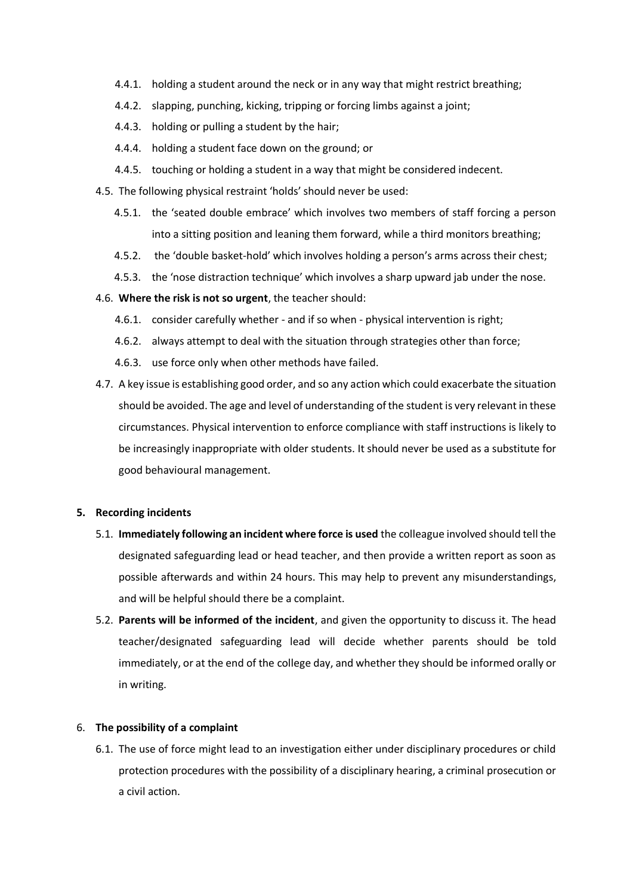- 4.4.1. holding a student around the neck or in any way that might restrict breathing;
- 4.4.2. slapping, punching, kicking, tripping or forcing limbs against a joint;
- 4.4.3. holding or pulling a student by the hair;
- 4.4.4. holding a student face down on the ground; or
- 4.4.5. touching or holding a student in a way that might be considered indecent.
- 4.5. The following physical restraint 'holds' should never be used:
	- 4.5.1. the 'seated double embrace' which involves two members of staff forcing a person into a sitting position and leaning them forward, while a third monitors breathing;
	- 4.5.2. the 'double basket-hold' which involves holding a person's arms across their chest;
	- 4.5.3. the 'nose distraction technique' which involves a sharp upward jab under the nose.
- 4.6. **Where the risk is not so urgent**, the teacher should:
	- 4.6.1. consider carefully whether and if so when physical intervention is right;
	- 4.6.2. always attempt to deal with the situation through strategies other than force;
	- 4.6.3. use force only when other methods have failed.
- 4.7. A key issue is establishing good order, and so any action which could exacerbate the situation should be avoided. The age and level of understanding of the student is very relevant in these circumstances. Physical intervention to enforce compliance with staff instructions is likely to be increasingly inappropriate with older students. It should never be used as a substitute for good behavioural management.

#### **5. Recording incidents**

- 5.1. **Immediately following an incident where force is used** the colleague involved should tell the designated safeguarding lead or head teacher, and then provide a written report as soon as possible afterwards and within 24 hours. This may help to prevent any misunderstandings, and will be helpful should there be a complaint.
- 5.2. **Parents will be informed of the incident**, and given the opportunity to discuss it. The head teacher/designated safeguarding lead will decide whether parents should be told immediately, or at the end of the college day, and whether they should be informed orally or in writing.

## 6. **The possibility of a complaint**

6.1. The use of force might lead to an investigation either under disciplinary procedures or child protection procedures with the possibility of a disciplinary hearing, a criminal prosecution or a civil action.